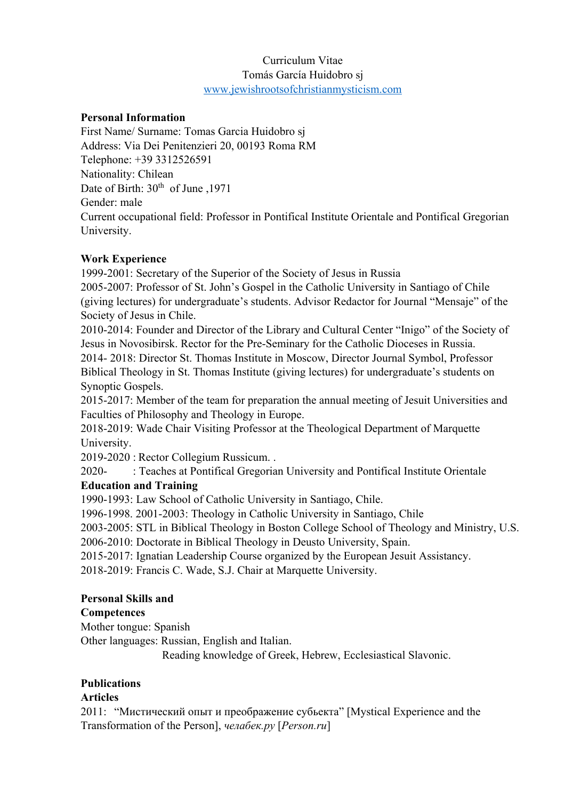### Curriculum Vitae Tomás García Huidobro sj www.jewishrootsofchristianmysticism.com

#### **Personal Information**

First Name/ Surname: Tomas Garcia Huidobro sj Address: Via Dei Penitenzieri 20, 00193 Roma RM Telephone: +39 3312526591 Nationality: Chilean Date of Birth:  $30<sup>th</sup>$  of June ,1971 Gender: male Current occupational field: Professor in Pontifical Institute Orientale and Pontifical Gregorian University.

#### **Work Experience**

1999-2001: Secretary of the Superior of the Society of Jesus in Russia

2005-2007: Professor of St. John's Gospel in the Catholic University in Santiago of Chile (giving lectures) for undergraduate's students. Advisor Redactor for Journal "Mensaje" of the Society of Jesus in Chile.

2010-2014: Founder and Director of the Library and Cultural Center "Inigo" of the Society of Jesus in Novosibirsk. Rector for the Pre-Seminary for the Catholic Dioceses in Russia.

2014- 2018: Director St. Thomas Institute in Moscow, Director Journal Symbol, Professor Biblical Theology in St. Thomas Institute (giving lectures) for undergraduate's students on Synoptic Gospels.

2015-2017: Member of the team for preparation the annual meeting of Jesuit Universities and Faculties of Philosophy and Theology in Europe.

2018-2019: Wade Chair Visiting Professor at the Theological Department of Marquette University.

2019-2020 : Rector Collegium Russicum. .

2020- : Teaches at Pontifical Gregorian University and Pontifical Institute Orientale

# **Education and Training**

1990-1993: Law School of Catholic University in Santiago, Chile.

1996-1998. 2001-2003: Theology in Catholic University in Santiago, Chile

2003-2005: STL in Biblical Theology in Boston College School of Theology and Ministry, U.S.

2006-2010: Doctorate in Biblical Theology in Deusto University, Spain.

2015-2017: Ignatian Leadership Course organized by the European Jesuit Assistancy.

2018-2019: Francis C. Wade, S.J. Chair at Marquette University.

#### **Personal Skills and**

#### **Competences**

Mother tongue: Spanish

Other languages: Russian, English and Italian.

Reading knowledge of Greek, Hebrew, Ecclesiastical Slavonic.

#### **Publications**

#### **Articles**

2011: "Мистический опыт и преображение субьекта" [Mystical Experience and the Transformation of the Person], *челабек.ру* [*Person.ru*]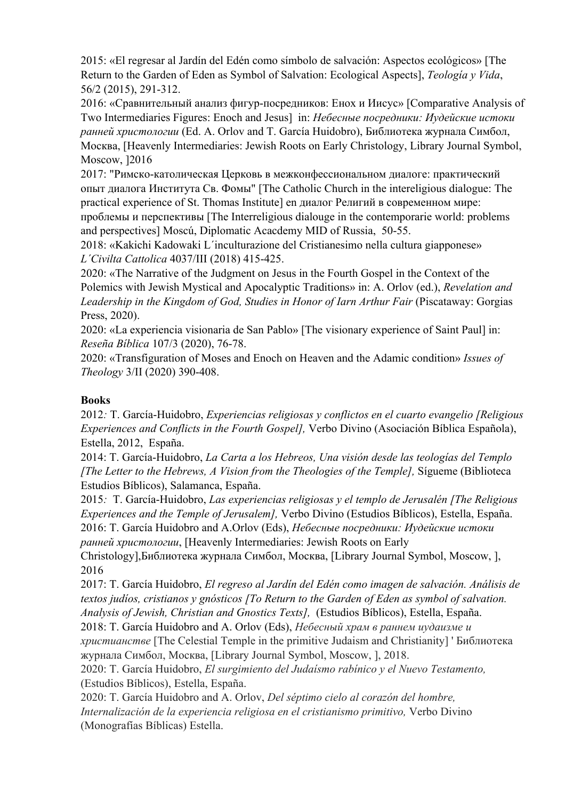2015: «El regresar al Jardín del Edén como símbolo de salvación: Aspectos ecológicos» [The Return to the Garden of Eden as Symbol of Salvation: Ecological Aspects], *Teología y Vida*, 56/2 (2015), 291-312.

2016: «Сравнительный анализ фигур-посредников: Енох и Иисус» [Comparative Analysis of Two Intermediaries Figures: Enoch and Jesus] in: *Небесные посредники: Иудейские истоки ранней христологии* (Ed. A. Orlov and T. García Huidobro), Библиотека журнала Симбол, Москва, [Heavenly Intermediaries: Jewish Roots on Early Christology, Library Journal Symbol, Moscow, ]2016

2017: "Римско-католическая Церковь в межконфессиональном диалоге: практический опыт диалога Института Св. Фомы" [The Catholic Church in the intereligious dialogue: The practical experience of St. Thomas Institute] en диалог Религий в современном мире: проблемы и перспективы [The Interreligious dialouge in the contemporarie world: problems and perspectives] Moscú, Diplomatic Acacdemy MID of Russia, 50-55.

2018: «Kakichi Kadowaki L´inculturazione del Cristianesimo nella cultura giapponese» *L´Civilta Cattolica* 4037/III (2018) 415-425.

2020: «The Narrative of the Judgment on Jesus in the Fourth Gospel in the Context of the Polemics with Jewish Mystical and Apocalyptic Traditions» in: A. Orlov (ed.), *Revelation and*  Leadership in the Kingdom of God, Studies in Honor of Iarn Arthur Fair (Piscataway: Gorgias Press, 2020).

2020: «La experiencia visionaria de San Pablo» [The visionary experience of Saint Paul] in: *Reseña Bíblica* 107/3 (2020), 76-78.

2020: «Transfiguration of Moses and Enoch on Heaven and the Adamic condition» *Issues of Theology* 3/II (2020) 390-408.

## **Books**

2012*:* T. García-Huidobro, *Experiencias religiosas y conflictos en el cuarto evangelio [Religious Experiences and Conflicts in the Fourth Gospel],* Verbo Divino (Asociación Bíblica Española), Estella, 2012, España.

2014: T. García-Huidobro, *La Carta a los Hebreos, Una visión desde las teologías del Templo [The Letter to the Hebrews, A Vision from the Theologies of the Temple], Sigueme (Biblioteca* Estudios Bíblicos), Salamanca, España.

2015*:* T. García-Huidobro, *Las experiencias religiosas y el templo de Jerusalén [The Religious Experiences and the Temple of Jerusalem],* Verbo Divino (Estudios Bíblicos), Estella, España. 2016: T. García Huidobro and A.Orlov (Eds), *Небесные посредники: Иудейские истоки ранней христологии*, [Heavenly Intermediaries: Jewish Roots on Early

Christology],Библиотека журнала Симбол, Москва, [Library Journal Symbol, Moscow, ], 2016

2017: T. García Huidobro, *El regreso al Jardín del Edén como imagen de salvación. Análisis de textos judíos, cristianos y gnósticos [To Return to the Garden of Eden as symbol of salvation. Analysis of Jewish, Christian and Gnostics Texts],* (Estudios Bíblicos), Estella, España.

2018: T. García Huidobro and A. Orlov (Eds), *Небесный храм в раннем иудаизме и христианстве* [The Celestial Temple in the primitive Judaism and Christianity] ' Библиотека журнала Симбол, Москва, [Library Journal Symbol, Moscow, ], 2018.

2020: T. García Huidobro, *El surgimiento del Judaísmo rabínico y el Nuevo Testamento,*  (Estudios Bíblicos), Estella, España.

2020: T. García Huidobro and A. Orlov, *Del séptimo cielo al corazón del hombre, Internalización de la experiencia religiosa en el cristianismo primitivo,* Verbo Divino (Monografías Bíblicas) Estella.